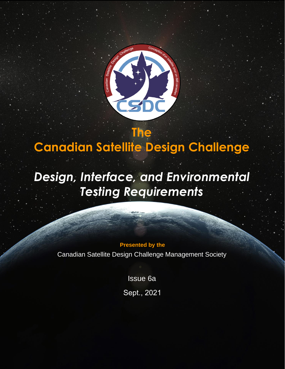

# **Canadian Satellite Design Challenge**

**The**

# *Design, Interface, and Environmental Testing Requirements*

**Presented by the**

Canadian Satellite Design Challenge Management Society

Issue 6a

Sept., 2021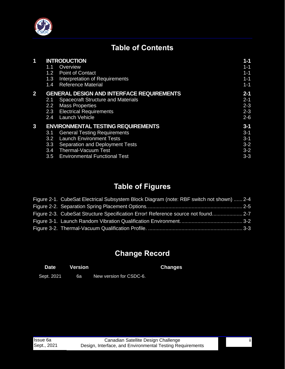

# **Table of Contents**

| 1            | <b>INTRODUCTION</b>                              |                                           |         |
|--------------|--------------------------------------------------|-------------------------------------------|---------|
|              | 1.1                                              | Overview                                  | $1 - 1$ |
|              | 1.2                                              | <b>Point of Contact</b>                   | $1 - 1$ |
|              | 1.3                                              | Interpretation of Requirements            | $1 - 1$ |
|              | 1.4                                              | <b>Reference Material</b>                 | $1 - 1$ |
| $\mathbf{2}$ | <b>GENERAL DESIGN AND INTERFACE REQUIREMENTS</b> |                                           |         |
|              | 2.1                                              | <b>Spacecraft Structure and Materials</b> | $2 - 1$ |
|              | 2.2                                              | <b>Mass Properties</b>                    | $2 - 3$ |
|              | 2.3                                              | <b>Electrical Requirements</b>            | $2 - 3$ |
|              | $2.4^{\circ}$                                    | Launch Vehicle                            | $2 - 6$ |
| 3            | <b>ENVIRONMENTAL TESTING REQUIREMENTS</b>        |                                           |         |
|              | 3.1                                              | <b>General Testing Requirements</b>       | $3 - 1$ |
|              | 3.2                                              | <b>Launch Environment Tests</b>           | $3 - 1$ |
|              | 3.3                                              | Separation and Deployment Tests           | $3 - 2$ |
|              | 3.4                                              | <b>Thermal-Vacuum Test</b>                | $3 - 2$ |
|              | 3.5                                              | <b>Environmental Functional Test</b>      | $3 - 3$ |

# **Table of Figures**

| Figure 2-1. CubeSat Electrical Subsystem Block Diagram (note: RBF switch not shown)  2-4 |  |
|------------------------------------------------------------------------------------------|--|
|                                                                                          |  |
| Figure 2-3. CubeSat Structure Specification Error! Reference source not found 2-7        |  |
|                                                                                          |  |
|                                                                                          |  |

# **Change Record**

| <b>Date</b> | Version |                         | <b>Changes</b> |
|-------------|---------|-------------------------|----------------|
| Sept. 2021  | 6а      | New version for CSDC-6. |                |

ii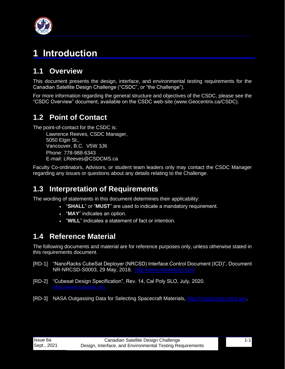

# <span id="page-2-0"></span>**1 Introduction**

# <span id="page-2-1"></span>**1.1 Overview**

This document presents the design, interface, and environmental testing requirements for the Canadian Satellite Design Challenge ("CSDC", or "the Challenge").

For more information regarding the general structure and objectives of the CSDC, please see the "CSDC Overview" document, available on the CSDC web-site (www.Geocentrix.ca/CSDC).

# <span id="page-2-2"></span>**1.2 Point of Contact**

The point-of-contact for the CSDC is:

Lawrence Reeves, CSDC Manager, 5050 Elgin St., Vancouver, B.C. V5W 3J6 Phone: 778-988-6343 E-mail: LReeves@CSDCMS.ca

Faculty Co-ordinators, Advisors, or student team leaders only may contact the CSDC Manager regarding any issues or questions about any details relating to the Challenge.

### <span id="page-2-3"></span>**1.3 Interpretation of Requirements**

The wording of statements in this document determines their applicability:

- "**SHALL**" or "**MUST**" are used to indicate a mandatory requirement.
	- "**MAY**" indicates an option.
	- "**WILL**" indicates a statement of fact or intention.

# <span id="page-2-4"></span>**1.4 Reference Material**

The following documents and material are for reference purposes only, unless otherwise stated in this requirements document.

- [RD-1] "NanoRacks CubeSat Deployer (NRCSD) Interface Control Document (ICD)", Document NR-NRCSD-S0003, 29 May, 2018. [http://www.nanoracks.com](http://www.nanoracks.com/)
- [RD-2] "Cubesat Design Specification", Rev. 14, Cal Poly SLO, July, 2020.
- <span id="page-2-5"></span>[RD-3] NASA Outgassing Data for Selecting Spacecraft Materials, [http://outgassing.nasa.gov.](http://outgassing.nasa.gov/)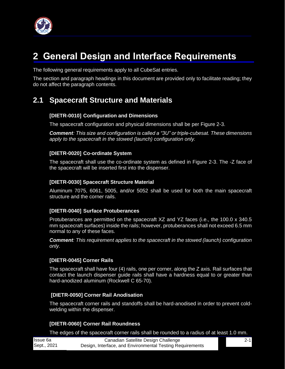

# <span id="page-3-0"></span>**2 General Design and Interface Requirements**

The following general requirements apply to all CubeSat entries.

The section and paragraph headings in this document are provided only to facilitate reading; they do not affect the paragraph contents.

# <span id="page-3-1"></span>**2.1 Spacecraft Structure and Materials**

#### **[DIETR-0010] Configuration and Dimensions**

The spacecraft configuration and physical dimensions shall be per Figure 2-3.

*Comment: This size and configuration is called a "3U" or triple-cubesat. These dimensions apply to the spacecraft in the stowed (launch) configuration only.*

#### **[DIETR-0020] Co-ordinate System**

The spacecraft shall use the co-ordinate system as defined in Figure 2-3. The -Z face of the spacecraft will be inserted first into the dispenser.

#### **[DIETR-0030] Spacecraft Structure Material**

Aluminum 7075, 6061, 5005, and/or 5052 shall be used for both the main spacecraft structure and the corner rails.

#### **[DIETR-0040] Surface Protuberances**

Protuberances are permitted on the spacecraft XZ and YZ faces (i.e., the 100.0 x 340.5 mm spacecraft surfaces) inside the rails; however, protuberances shall not exceed 6.5 mm normal to any of these faces.

*Comment: This requirement applies to the spacecraft in the stowed (launch) configuration only.*

#### **[DIETR-0045] Corner Rails**

The spacecraft shall have four (4) rails, one per corner, along the Z axis. Rail surfaces that contact the launch dispenser guide rails shall have a hardness equal to or greater than hard-anodized aluminum (Rockwell C 65-70).

#### **[DIETR-0050] Corner Rail Anodisation**

The spacecraft corner rails and standoffs shall be hard-anodised in order to prevent coldwelding within the dispenser.

#### **[DIETR-0060] Corner Rail Roundness**

The edges of the spacecraft corner rails shall be rounded to a radius of at least 1.0 mm.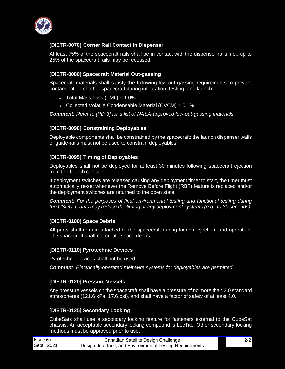

#### **[DIETR-0070] Corner Rail Contact in Dispenser**

At least 75% of the spacecraft rails shall be in contact with the dispenser rails; i.e., up to 25% of the spacecraft rails may be recessed.

#### **[DIETR-0080] Spacecraft Material Out-gassing**

Spacecraft materials shall satisfy the following low-out-gassing requirements to prevent contamination of other spacecraft during integration, testing, and launch:

- Total Mass Loss  $(TML) \leq 1.0\%$ .
- Collected Volatile Condensable Material  $(CVCM) \leq 0.1\%$ .

*Comment: Refer to [\[RD-3\]](#page-2-5) for a list of NASA-approved low-out-gassing materials.* 

#### **[DIETR-0090] Constraining Deployables**

Deployable components shall be constrained by the spacecraft; the launch dispenser walls or guide-rails must not be used to constrain deployables.

#### **[DIETR-0095] Timing of Deployables**

Deployables shall not be deployed for at least 30 minutes following spacecraft ejection from the launch canister.

If deployment switches are released causing any deployment timer to start, the timer must automatically re-set whenever the Remove Before Flight (RBF) feature is replaced and/or the deployment switches are returned to the open state.

*Comment: For the purposes of final environmental testing and functional testing during the CSDC, teams may reduce the timing of any deployment systems (e.g., to 30 seconds).*

#### **[DIETR-0100] Space Debris**

All parts shall remain attached to the spacecraft during launch, ejection, and operation. The spacecraft shall not create space debris.

#### **[DIETR-0110] Pyrotechnic Devices**

Pyrotechnic devices shall not be used.

*Comment: Electrically-operated melt-wire systems for deployables are permitted.*

#### **[DIETR-0120] Pressure Vessels**

Any pressure vessels on the spacecraft shall have a pressure of no more than 2.0 standard atmospheres (121.6 kPa, 17.6 psi), and shall have a factor of safety of at least 4.0.

#### **[DIETR-0125] Secondary Locking**

CubeSats shall use a secondary locking feature for fasteners external to the CubeSat chassis. An acceptable secondary locking compound is LocTite. Other secondary locking methods must be approved prior to use.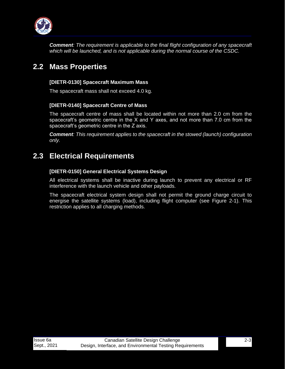

*Comment: The requirement is applicable to the final flight configuration of any spacecraft which will be launched, and is not applicable during the normal course of the CSDC.*

## <span id="page-5-0"></span>**2.2 Mass Properties**

#### **[DIETR-0130] Spacecraft Maximum Mass**

The spacecraft mass shall not exceed 4.0 kg.

#### **[DIETR-0140] Spacecraft Centre of Mass**

The spacecraft centre of mass shall be located within not more than 2.0 cm from the spacecraft's geometric centre in the X and Y axes, and not more than 7.0 cm from the spacecraft's geometric centre in the Z axis.

*Comment: This requirement applies to the spacecraft in the stowed (launch) configuration only.*

# <span id="page-5-1"></span>**2.3 Electrical Requirements**

#### **[DIETR-0150] General Electrical Systems Design**

All electrical systems shall be inactive during launch to prevent any electrical or RF interference with the launch vehicle and other payloads.

The spacecraft electrical system design shall not permit the ground charge circuit to energise the satellite systems (load), including flight computer (see Figure 2-1). This restriction applies to all charging methods.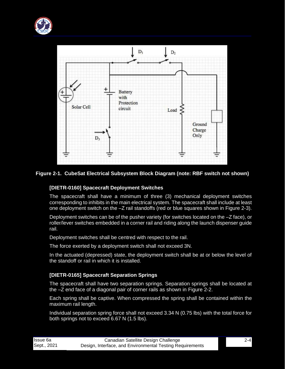



#### <span id="page-6-0"></span>**Figure 2-1. CubeSat Electrical Subsystem Block Diagram (note: RBF switch not shown)**

#### **[DIETR-0160] Spacecraft Deployment Switches**

The spacecraft shall have a minimum of three (3) mechanical deployment switches corresponding to inhibits in the main electrical system. The spacecraft shall include at least one deployment switch on the –Z rail standoffs (red or blue squares shown in Figure 2-3).

Deployment switches can be of the pusher variety (for switches located on the  $-Z$  face), or roller/lever switches embedded in a corner rail and riding along the launch dispenser guide rail.

Deployment switches shall be centred with respect to the rail.

The force exerted by a deployment switch shall not exceed 3N.

In the actuated (depressed) state, the deployment switch shall be at or below the level of the standoff or rail in which it is installed.

#### **[DIETR-0165] Spacecraft Separation Springs**

The spacecraft shall have two separation springs. Separation springs shall be located at the –Z end face of a diagonal pair of corner rails as shown in Figure 2-2.

Each spring shall be captive. When compressed the spring shall be contained within the maximum rail length.

Individual separation spring force shall not exceed 3.34 N (0.75 lbs) with the total force for both springs not to exceed 6.67 N (1.5 lbs).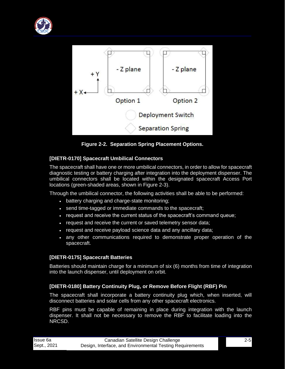



**Figure 2-2. Separation Spring Placement Options.**

#### <span id="page-7-0"></span>**[DIETR-0170] Spacecraft Umbilical Connectors**

The spacecraft shall have one or more umbilical connectors, in order to allow for spacecraft diagnostic testing or battery charging after integration into the deployment dispenser. The umbilical connectors shall be located within the designated spacecraft Access Port locations (green-shaded areas, shown in Figure 2-3).

Through the umbilical connector, the following activities shall be able to be performed:

- battery charging and charge-state monitoring;
- send time-tagged or immediate commands to the spacecraft;
- request and receive the current status of the spacecraft's command queue;
- request and receive the current or saved telemetry sensor data;
- request and receive payload science data and any ancillary data;
- any other communications required to demonstrate proper operation of the spacecraft.

#### **[DIETR-0175] Spacecraft Batteries**

Batteries should maintain charge for a minimum of six (6) months from time of integration into the launch dispenser, until deployment on orbit.

#### **[DIETR-0180] Battery Continuity Plug, or Remove Before Flight (RBF) Pin**

The spacecraft shall incorporate a battery continuity plug which, when inserted, will disconnect batteries and solar cells from any other spacecraft electronics.

RBF pins must be capable of remaining in place during integration with the launch dispenser. It shall not be necessary to remove the RBF to facilitate loading into the NRCSD.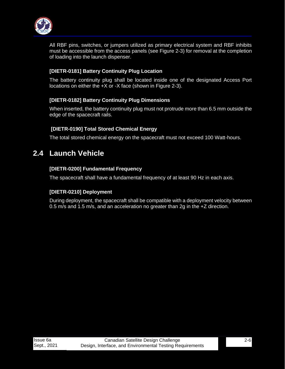

All RBF pins, switches, or jumpers utilized as primary electrical system and RBF inhibits must be accessible from the access panels (see Figure 2-3) for removal at the completion of loading into the launch dispenser.

#### **[DIETR-0181] Battery Continuity Plug Location**

The battery continuity plug shall be located inside one of the designated Access Port locations on either the +X or -X face (shown in Figure 2-3).

#### **[DIETR-0182] Battery Continuity Plug Dimensions**

When inserted, the battery continuity plug must not protrude more than 6.5 mm outside the edge of the spacecraft rails.

#### **[DIETR-0190] Total Stored Chemical Energy**

The total stored chemical energy on the spacecraft must not exceed 100 Watt-hours.

### <span id="page-8-0"></span>**2.4 Launch Vehicle**

#### **[DIETR-0200] Fundamental Frequency**

The spacecraft shall have a fundamental frequency of at least 90 Hz in each axis.

#### **[DIETR-0210] Deployment**

During deployment, the spacecraft shall be compatible with a deployment velocity between 0.5 m/s and 1.5 m/s, and an acceleration no greater than 2g in the +Z direction.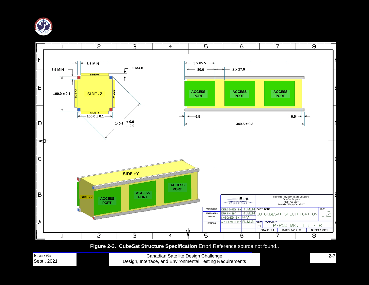



**Figure 2-3. CubeSat Structure Specification** Error! Reference source not found.**.**

<span id="page-9-0"></span>

| <b>Issue 6a</b> |  |
|-----------------|--|
| Sept., 2021     |  |

Canadian Satellite Design Challenge Design, Interface, and Environmental Testing Requirements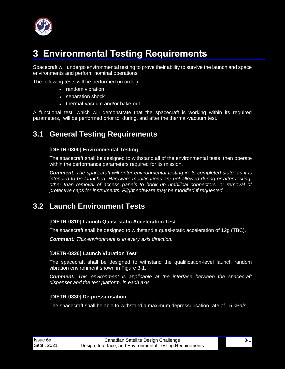

# <span id="page-10-0"></span>**3 Environmental Testing Requirements**

Spacecraft will undergo environmental testing to prove their ability to survive the launch and space environments and perform nominal operations.

The following tests will be performed (in order):

- random vibration
- separation shock
- thermal-vacuum and/or bake-out

A functional test, which will demonstrate that the spacecraft is working within its required parameters, will be performed prior to, during, and after the thermal-vacuum test.

### <span id="page-10-1"></span>**3.1 General Testing Requirements**

#### **[DIETR-0300] Environmental Testing**

The spacecraft shall be designed to withstand all of the environmental tests, then operate within the performance parameters required for its mission.

*Comment: The spacecraft will enter environmental testing in its completed state, as it is intended to be launched. Hardware modifications are not allowed during or after testing, other than removal of access panels to hook up umbilical connectors, or removal of protective caps for instruments. Flight software may be modified if requested.*

### <span id="page-10-2"></span>**3.2 Launch Environment Tests**

#### **[DIETR-0310] Launch Quasi-static Acceleration Test**

The spacecraft shall be designed to withstand a quasi-static acceleration of 12g (TBC).

*Comment: This environment is in every axis direction.*

#### **[DIETR-0320] Launch Vibration Test**

The spacecraft shall be designed to withstand the qualification-level launch random vibration environment shown in Figure 3-1.

*Comment: This environment is applicable at the interface between the spacecraft dispenser and the test platform, in each axis.*

#### **[DIETR-0330] De-pressurisation**

The spacecraft shall be able to withstand a maximum depressurisation rate of –5 kPa/s.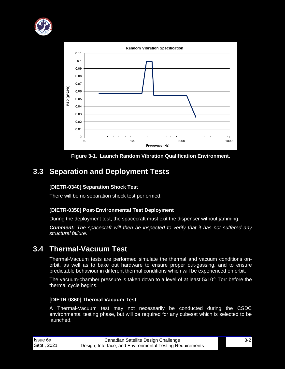



**Figure 3-1. Launch Random Vibration Qualification Environment.**

# <span id="page-11-2"></span><span id="page-11-0"></span>**3.3 Separation and Deployment Tests**

#### **[DIETR-0340] Separation Shock Test**

There will be no separation shock test performed.

#### **[DIETR-0350] Post-Environmental Test Deployment**

During the deployment test, the spacecraft must exit the dispenser without jamming.

*Comment: The spacecraft will then be inspected to verify that it has not suffered any structural failure.*

### <span id="page-11-1"></span>**3.4 Thermal-Vacuum Test**

Thermal-Vacuum tests are performed simulate the thermal and vacuum conditions onorbit, as well as to bake out hardware to ensure proper out-gassing, and to ensure predictable behaviour in different thermal conditions which will be experienced on orbit.

The vacuum-chamber pressure is taken down to a level of at least  $5x10^{-5}$  Torr before the thermal cycle begins.

#### **[DIETR-0360] Thermal-Vacuum Test**

A Thermal-Vacuum test may not necessarily be conducted during the CSDC environmental testing phase, but will be required for any cubesat which is selected to be launched.